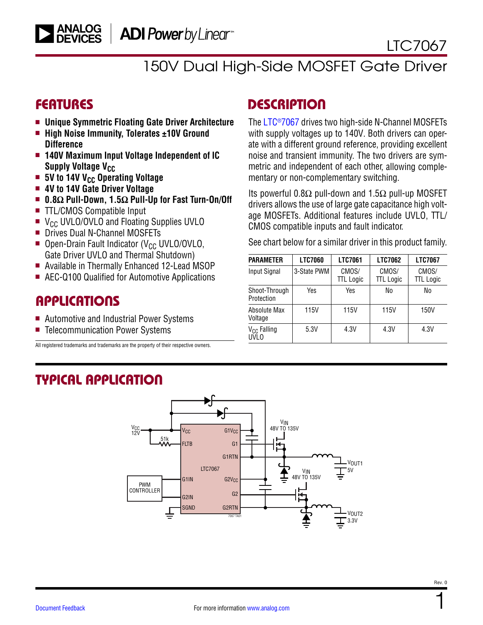150V Dual High-Side MOSFET Gate Driver

- <sup>n</sup> **Unique Symmetric Floating Gate Driver Architecture**
- High Noise Immunity, Tolerates ±10V Ground **Difference**
- $\blacksquare$  **140V Maximum Input Voltage Independent of IC Supply Voltage V<sub>CC</sub>**
- 5V to 14V V<sub>CC</sub> Operating Voltage
- $\blacksquare$  **4V to 14V Gate Driver Voltage**
- <sup>n</sup> **0.8Ω Pull-Down, 1.5Ω Pull-Up for Fast Turn-On/Off**
- TTL/CMOS Compatible Input
- $\blacksquare$  V<sub>CC</sub> UVLO/OVLO and Floating Supplies UVLO
- Drives Dual N-Channel MOSFETs
- **Den-Drain Fault Indicator (V<sub>CC</sub> UVLO/OVLO,** Gate Driver UVLO and Thermal Shutdown)
- Available in Thermally Enhanced 12-Lead MSOP
- AEC-Q100 Qualified for Automotive Applications

### **APPLICATIONS**

- Automotive and Industrial Power Systems
- Telecommunication Power Systems

All registered trademarks and trademarks are the property of their respective owners.

### FEATURES DESCRIPTION

The [LTC®7067](https://www.analog.com/LTC7067?doc=LTC7067.pdf) drives two high-side N-Channel MOSFETs with supply voltages up to 140V. Both drivers can operate with a different ground reference, providing excellent noise and transient immunity. The two drivers are symmetric and independent of each other, allowing complementary or non-complementary switching.

Its powerful 0.8 $\Omega$  pull-down and 1.5 $\Omega$  pull-up MOSFET drivers allows the use of large gate capacitance high voltage MOSFETs. Additional features include UVLO, TTL/ CMOS compatible inputs and fault indicator.

See chart below for a similar driver in this product family.

| <b>PARAMETER</b>                       | <b>LTC7060</b> | <b>LTC7061</b>            | <b>LTC7062</b>            | <b>LTC7067</b>            |
|----------------------------------------|----------------|---------------------------|---------------------------|---------------------------|
| Input Signal                           | 3-State PWM    | CMOS/<br><b>TTL Logic</b> | CMOS/<br><b>TTL</b> Logic | CMOS/<br><b>TTL</b> Logic |
| Shoot-Through<br>Protection            | Yes            | Yes                       | No                        | No                        |
| Absolute Max<br>Voltage                | 115V           | 115V                      | 115V                      | 150V                      |
| V <sub>CC</sub> Falling<br><b>UVLO</b> | 5.3V           | 4.3V                      | 4.3V                      | 4.3V                      |

## TYPICAL APPLICATION

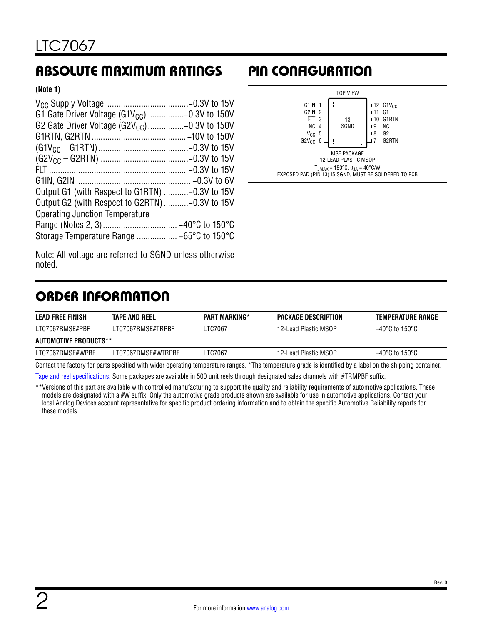# <span id="page-1-0"></span>ABSOLUTE MAXIMUM RATINGS PIN CONFIGURATION

#### **(Note 1)**

| G1 Gate Driver Voltage (G1V <sub>CC</sub> ) -0.3V to 150V |  |
|-----------------------------------------------------------|--|
| G2 Gate Driver Voltage (G2V <sub>CC</sub> )-0.3V to 150V  |  |
|                                                           |  |
|                                                           |  |
|                                                           |  |
|                                                           |  |
|                                                           |  |
| Output G1 (with Respect to G1RTN) -0.3V to 15V            |  |
| Output G2 (with Respect to G2RTN)-0.3V to 15V             |  |
| <b>Operating Junction Temperature</b>                     |  |
|                                                           |  |
|                                                           |  |
|                                                           |  |



Note: All voltage are referred to SGND unless otherwise noted.

# ORDER INFORMATION

| LEAD FREE FINISH             | <b>TAPE AND REEL</b> | <b>PART MARKING*</b> | PACKAGE DESCRIPTION  | TEMPERATURE RANGE |  |  |
|------------------------------|----------------------|----------------------|----------------------|-------------------|--|--|
| LTC7067RMSE#PBF              | LTC7067RMSE#TRPBF    | LTC7067              | 12-Lead Plastic MSOP | −40°C to 150°C    |  |  |
| <b>AUTOMOTIVE PRODUCTS**</b> |                      |                      |                      |                   |  |  |
| LTC7067RMSE#WPBF             | LTC7067RMSE#WTRPBF   | LTC7067              | 12-Lead Plastic MSOP | 1–40°C to 150°C   |  |  |

Contact the factory for parts specified with wider operating temperature ranges. \*The temperature grade is identified by a label on the shipping container.

[Tape and reel specifications](https://www.analog.com/media/en/package-pcb-resources/package/tape-reel-rev-n.pdf). Some packages are available in 500 unit reels through designated sales channels with #TRMPBF suffix.

**\*\***Versions of this part are available with controlled manufacturing to support the quality and reliability requirements of automotive applications. These models are designated with a #W suffix. Only the automotive grade products shown are available for use in automotive applications. Contact your local Analog Devices account representative for specific product ordering information and to obtain the specific Automotive Reliability reports for these models.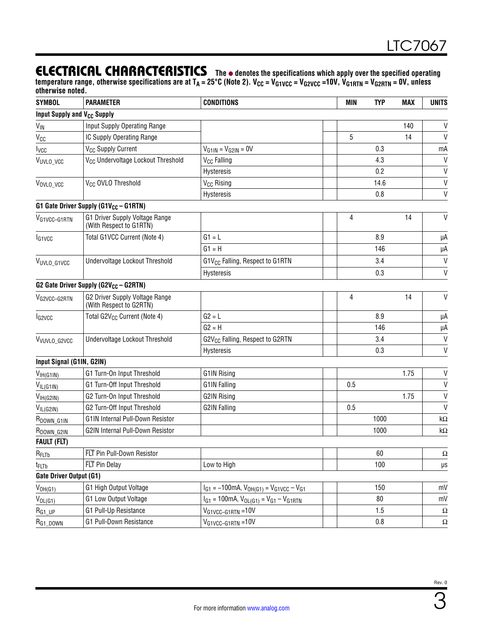### ELECTRICAL CHARACTERISTICS The  $\bullet$  denotes the specifications which apply over the specified operating

temperature range, otherwise specifications are at T<sub>A</sub> = 25°C (Note 2). V<sub>CC</sub> = V<sub>G1VCC</sub> = V<sub>G2VCC</sub> =10V, V<sub>G1RTN</sub> = V<sub>G2RTN</sub> = 0V, unless **otherwise noted.**

| <b>SYMBOL</b>                           | <b>PARAMETER</b>                                          | <b>CONDITIONS</b>                                       | <b>MIN</b> | <b>TYP</b> | <b>MAX</b> | <b>UNITS</b> |
|-----------------------------------------|-----------------------------------------------------------|---------------------------------------------------------|------------|------------|------------|--------------|
| Input Supply and V <sub>CC</sub> Supply |                                                           |                                                         |            |            |            |              |
| <b>V<sub>IN</sub></b>                   | Input Supply Operating Range                              |                                                         |            |            | 140        | $\sf V$      |
| Vcc                                     | IC Supply Operating Range                                 |                                                         | 5          |            | 14         | $\mathsf{V}$ |
| <b>I</b> <sub>VCC</sub>                 | V <sub>CC</sub> Supply Current                            | $V_{G1IN} = V_{G2IN} = 0V$                              |            | 0.3        |            | mA           |
| VUVLO_VCC                               | V <sub>CC</sub> Undervoltage Lockout Threshold            | V <sub>CC</sub> Falling                                 |            | 4.3        |            | $\mathsf{V}$ |
|                                         |                                                           | Hysteresis                                              |            | 0.2        |            | $\mathsf{V}$ |
| VOVLO_VCC                               | V <sub>CC</sub> OVLO Threshold                            | V <sub>CC</sub> Rising                                  |            | 14.6       |            | $\mathsf{V}$ |
|                                         |                                                           | Hysteresis                                              |            | 0.8        |            | $\mathsf{V}$ |
|                                         | G1 Gate Driver Supply (G1V <sub>CC</sub> - G1RTN)         |                                                         |            |            |            |              |
| VG1VCC-G1RTN                            | G1 Driver Supply Voltage Range<br>(With Respect to G1RTN) |                                                         | 4          |            | 14         | $\mathsf{V}$ |
| I <sub>G1VCC</sub>                      | Total G1VCC Current (Note 4)                              | $G1 = L$                                                |            | 8.9        |            | μA           |
|                                         |                                                           | $G1 = H$                                                |            | 146        |            | μA           |
| VUVLO_G1VCC                             | Undervoltage Lockout Threshold                            | G1V <sub>CC</sub> Falling, Respect to G1RTN             |            | 3.4        |            | V            |
|                                         |                                                           | Hysteresis                                              |            | 0.3        |            | $\mathsf{V}$ |
|                                         | G2 Gate Driver Supply (G2V <sub>CC</sub> - G2RTN)         |                                                         |            |            |            |              |
| V <sub>G2VCC-G2RTN</sub>                | G2 Driver Supply Voltage Range<br>(With Respect to G2RTN) |                                                         | 4          |            | 14         | V            |
| I <sub>G2VCC</sub>                      | Total G2V <sub>CC</sub> Current (Note 4)                  | $G2 = L$                                                |            | 8.9        |            | μA           |
|                                         |                                                           | $G2 = H$                                                |            | 146        |            | μA           |
| VVUVLO_G2VCC                            | Undervoltage Lockout Threshold                            | G2V <sub>CC</sub> Falling, Respect to G2RTN             |            | 3.4        |            | $\mathsf{V}$ |
|                                         |                                                           | Hysteresis                                              |            | 0.3        |            | $\mathsf{V}$ |
| Input Signal (G1IN, G2IN)               |                                                           |                                                         |            |            |            |              |
| V <sub>IH</sub> (G1IN)                  | G1 Turn-On Input Threshold                                | G1IN Rising                                             |            |            | 1.75       | $\mathsf{V}$ |
| $V_{IL(G11N)}$                          | G1 Turn-Off Input Threshold                               | G1IN Falling                                            | 0.5        |            |            | $\mathsf{V}$ |
| V <sub>IH</sub> (G2IN)                  | G2 Turn-On Input Threshold                                | <b>G2IN Rising</b>                                      |            |            | 1.75       | $\sf V$      |
| $V_{IL(G2IN)}$                          | G2 Turn-Off Input Threshold                               | <b>G2IN Falling</b>                                     | 0.5        |            |            | $\mathsf{V}$ |
| R <sub>DOWN_G1IN</sub>                  | G1IN Internal Pull-Down Resistor                          |                                                         |            | 1000       |            | kΩ           |
| R <sub>DOWN_G2IN</sub>                  | G2IN Internal Pull-Down Resistor                          |                                                         |            | 1000       |            | $k\Omega$    |
| <b>FAULT (FLT)</b>                      |                                                           |                                                         |            |            |            |              |
| $R_{FLTb}$                              | FLT Pin Pull-Down Resistor                                |                                                         |            | 60         |            | Ω            |
| t <sub>FLTb</sub>                       | FLT Pin Delay                                             | Low to High                                             |            | 100        |            | μs           |
| Gate Driver Output (G1)                 |                                                           |                                                         |            |            |            |              |
| V <sub>OH</sub> (G1)                    | G1 High Output Voltage                                    | $I_{G1} = -100$ mA, $V_{OH(G1)} = V_{G1VCC} - V_{G1}$   |            | 150        |            | mV           |
| $V_{OL(G1)}$                            | G1 Low Output Voltage                                     | $I_{G1}$ = 100mA, $V_{OL(G1)}$ = $V_{G1}$ – $V_{G1RTN}$ |            | 80         |            | mV           |
| $R_{G1\_UP}$                            | G1 Pull-Up Resistance                                     | V <sub>G1VCC-G1RTN</sub> =10V                           |            | 1.5        |            | Ω            |
| R <sub>G1_DOWN</sub>                    | G1 Pull-Down Resistance                                   | V <sub>G1VCC-G1RTN</sub> =10V                           |            | 0.8        |            | Ω            |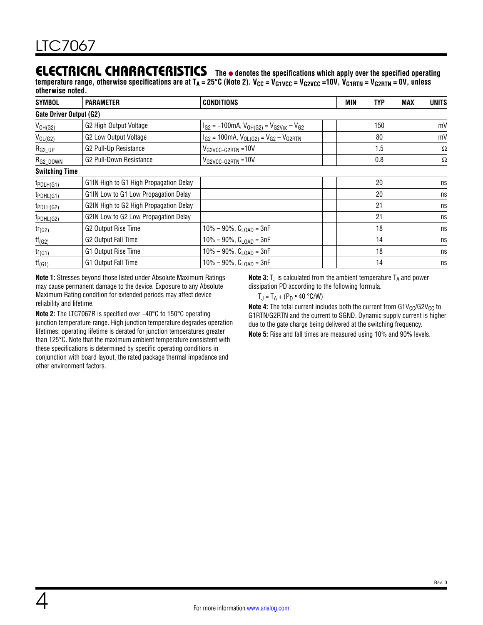### ELECTRICAL CHARACTERISTICS The  $\bullet$  denotes the specifications which apply over the specified operating

temperature range, otherwise specifications are at T<sub>A</sub> = 25°C (Note 2). V<sub>CC</sub> = V<sub>G1VCC</sub> = V<sub>G2VCC</sub> =10V, V<sub>G1RTN</sub> = V<sub>G2RTN</sub> = 0V, unless **otherwise noted.**

| <b>SYMBOL</b>           | <b>PARAMETER</b>                       | <b>CONDITIONS</b>                                                    | MIN | <b>TYP</b> | <b>MAX</b> | <b>UNITS</b> |
|-------------------------|----------------------------------------|----------------------------------------------------------------------|-----|------------|------------|--------------|
| Gate Driver Output (G2) |                                        |                                                                      |     |            |            |              |
| $V_{OH(G2)}$            | G2 High Output Voltage                 | $I_{G2}$ = -100mA, $V_{OH(G2)}$ = $V_{G2}$ <sub>Vcc</sub> – $V_{G2}$ |     | 150        |            | mV           |
| $V_{OL(G2)}$            | G2 Low Output Voltage                  | $I_{G2}$ = 100mA, $V_{OL(G2)}$ = $V_{G2}$ – $V_{G2RTN}$              |     | 80         |            | mV           |
| $R_{G2_UP}$             | G2 Pull-Up Resistance                  | $V_{G2VCC-G2RTN} = 10V$                                              |     | 1.5        |            | Ω            |
| $R_{\rm G2\_DOWN}$      | G2 Pull-Down Resistance                | $V_{G2VCC-G2RTN} = 10V$                                              |     | 0.8        |            | Ω            |
| <b>Switching Time</b>   |                                        |                                                                      |     |            |            |              |
| tpDLH(G1)               | G1IN High to G1 High Propagation Delay |                                                                      |     | 20         |            | ns           |
| tpDHL(G1)               | G1IN Low to G1 Low Propagation Delay   |                                                                      |     | 20         |            | ns           |
| tpDLH(G2)               | G2IN High to G2 High Propagation Delay |                                                                      |     | 21         |            | ns           |
| tpDHL(G2)               | G2IN Low to G2 Low Propagation Delay   |                                                                      |     | 21         |            | ns           |
| $tr_{(G2)}$             | G2 Output Rise Time                    | $10\% - 90\%$ , $C_{\text{LOAD}} = 3nF$                              |     | 18         |            | ns           |
| $tf_{(G2)}$             | G2 Output Fall Time                    | $10\% - 90\%$ , $C_{\text{LOAD}} = 3nF$                              |     | 14         |            | ns           |
| $tr_{(G1)}$             | G1 Output Rise Time                    | $10\% - 90\%$ , $C_{LOAD} = 3nF$                                     |     | 18         |            | ns           |
| $tf_{(G1)}$             | G1 Output Fall Time                    | $10\% - 90\%$ , C <sub>LOAD</sub> = 3nF                              |     | 14         |            | ns           |

**Note 1:** Stresses beyond those listed under [Absolute Maximum Ratings](#page-1-0)  may cause permanent damage to the device. Exposure to any Absolute Maximum Rating condition for extended periods may affect device reliability and lifetime.

**Note 2:** The LTC7067R is specified over –40°C to 150°C operating junction temperature range. High junction temperature degrades operation lifetimes; operating lifetime is derated for junction temperatures greater than 125°C. Note that the maximum ambient temperature consistent with these specifications is determined by specific operating conditions in conjunction with board layout, the rated package thermal impedance and other environment factors.

**Note 3:**  $T_J$  is calculated from the ambient temperature  $T_A$  and power dissipation PD according to the following formula.

$$
T_J = T_A + (P_D \bullet 40 \text{ °C/W})
$$

**Note 4:** The total current includes both the current from G1V<sub>CC</sub>/G2V<sub>CC</sub> to G1RTN/G2RTN and the current to SGND. Dynamic supply current is higher due to the gate charge being delivered at the switching frequency.

**Note 5:** Rise and fall times are measured using 10% and 90% levels.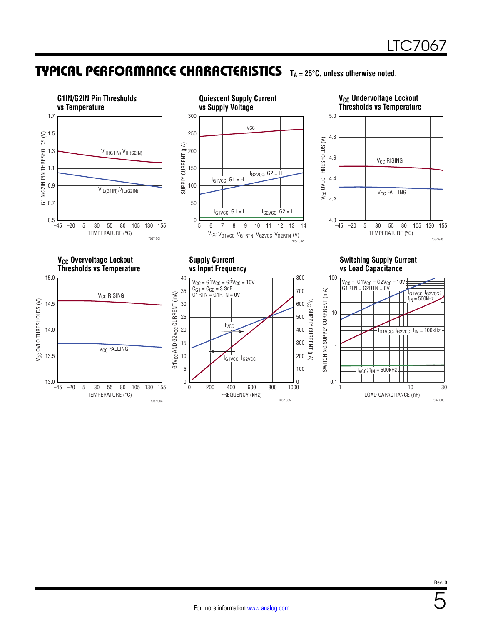## <span id="page-4-0"></span>TYPICAL PERFORMANCE CHARACTERISTICS **TA = 25°C, unless otherwise noted.**

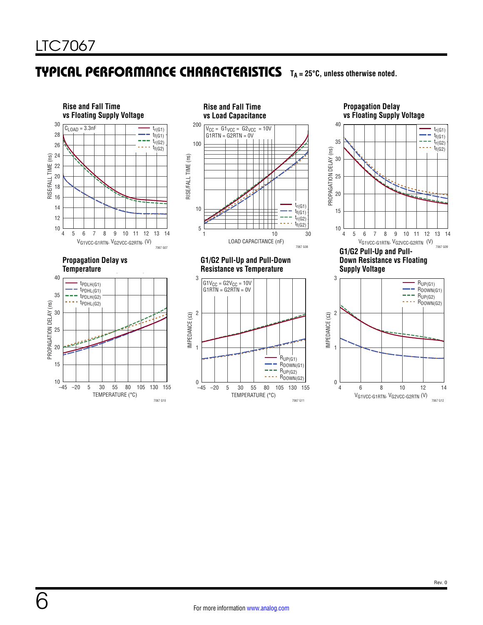### TYPICAL PERFORMANCE CHARACTERISTICS **TA = 25°C, unless otherwise noted.**



**Propagation Delay vs Floating Supply Voltage vs Floating Supply Voltage**



3  $R_{UP(G1)}$ L. RDOWN(G1) ÷. RUP(G2) RDOWN(G2) - - - -2 IMPEDANCE (Ω) 1 0 4 6 8 10 12 14 VG1VCC-G1RTN, VG2VCC-G2RTN (V) 7067 G12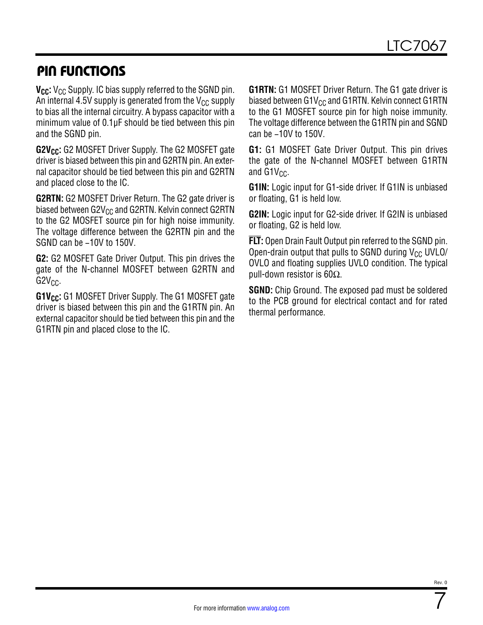## PIN FUNCTIONS

**V<sub>CC</sub>:** V<sub>CC</sub> Supply. IC bias supply referred to the SGND pin. An internal 4.5V supply is generated from the  $V_{CC}$  supply to bias all the internal circuitry. A bypass capacitor with a minimum value of 0.1μF should be tied between this pin and the SGND pin.

**G2V<sub>CC</sub>:** G2 MOSFET Driver Supply. The G2 MOSFET gate driver is biased between this pin and G2RTN pin. An external capacitor should be tied between this pin and G2RTN and placed close to the IC.

**G2RTN:** G2 MOSFET Driver Return. The G2 gate driver is biased between  $G2V_{CC}$  and  $G2RTN$ . Kelvin connect  $G2RTN$ to the G2 MOSFET source pin for high noise immunity. The voltage difference between the G2RTN pin and the SGND can be −10V to 150V.

**G2:** G2 MOSFET Gate Driver Output. This pin drives the gate of the N-channel MOSFET between G2RTN and  $G2V<sub>CC</sub>$ .

**G1V<sub>CC</sub>:** G1 MOSFET Driver Supply. The G1 MOSFET gate driver is biased between this pin and the G1RTN pin. An external capacitor should be tied between this pin and the G1RTN pin and placed close to the IC.

**G1RTN:** G1 MOSFET Driver Return. The G1 gate driver is biased between  $G1V_{CC}$  and  $G1RTN$ . Kelvin connect  $G1RTN$ to the G1 MOSFET source pin for high noise immunity. The voltage difference between the G1RTN pin and SGND can be −10V to 150V.

**G1:** G1 MOSFET Gate Driver Output. This pin drives the gate of the N-channel MOSFET between G1RTN and  $G1V_{CC}$ .

**G1IN:** Logic input for G1-side driver. If G1IN is unbiased or floating, G1 is held low.

**G2IN:** Logic input for G2-side driver. If G2IN is unbiased or floating, G2 is held low.

**FLT:** Open Drain Fault Output pin referred to the SGND pin. Open-drain output that pulls to SGND during  $V_{CC}$  UVLO/ OVLO and floating supplies UVLO condition. The typical pull-down resistor is 60Ω.

**SGND:** Chip Ground. The exposed pad must be soldered to the PCB ground for electrical contact and for rated thermal performance.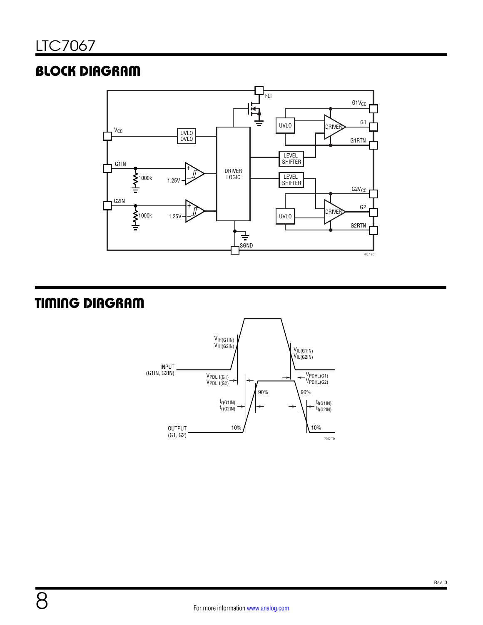# BLOCK DIAGRAM



# TIMING DIAGRAM

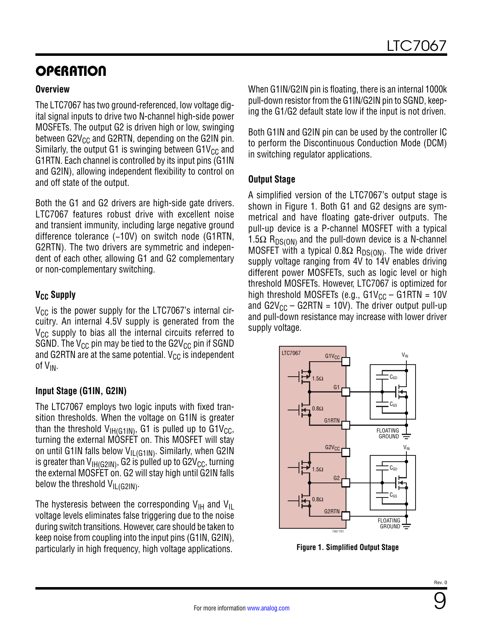# **OPERATION**

#### **Overview**

The LTC7067 has two ground-referenced, low voltage digital signal inputs to drive two N-channel high-side power MOSFETs. The output G2 is driven high or low, swinging between  $G2V_{CC}$  and  $G2RTN$ , depending on the G2IN pin. Similarly, the output G1 is swinging between G1V<sub>CC</sub> and G1RTN. Each channel is controlled by its input pins (G1IN and G2IN), allowing independent flexibility to control on and off state of the output.

Both the G1 and G2 drivers are high-side gate drivers. LTC7067 features robust drive with excellent noise and transient immunity, including large negative ground difference tolerance (−10V) on switch node (G1RTN, G2RTN). The two drivers are symmetric and independent of each other, allowing G1 and G2 complementary or non-complementary switching.

#### **V<sub>CC</sub>** Supply

 $V_{CC}$  is the power supply for the LTC7067's internal circuitry. An internal 4.5V supply is generated from the  $V_{CC}$  supply to bias all the internal circuits referred to SGND. The  $V_{CC}$  pin may be tied to the G2V<sub>CC</sub> pin if SGND and G2RTN are at the same potential.  $V_{CC}$  is independent of V<sub>IN</sub>.

#### **Input Stage (G1IN, G2IN)**

The LTC7067 employs two logic inputs with fixed transition thresholds. When the voltage on G1IN is greater than the threshold  $V_{IH(G1IN)}$ , G1 is pulled up to G1V<sub>CC</sub>, turning the external MOSFET on. This MOSFET will stay on until G1IN falls below  $V_{IL(G11N)}$ . Similarly, when G2IN is greater than  $V_{H(G21N)}$ , G2 is pulled up to G2V<sub>CC</sub>, turning the external MOSFET on. G2 will stay high until G2IN falls below the threshold  $V_{IL(G2IN)}$ .

The hysteresis between the corresponding  $V_{\text{H}}$  and  $V_{\text{H}}$ voltage levels eliminates false triggering due to the noise during switch transitions. However, care should be taken to keep noise from coupling into the input pins (G1IN, G2IN), particularly in high frequency, high voltage applications.

When G1IN/G2IN pin is floating, there is an internal 1000k pull-down resistor from the G1IN/G2IN pin to SGND, keeping the G1/G2 default state low if the input is not driven.

Both G1IN and G2IN pin can be used by the controller IC to perform the Discontinuous Conduction Mode (DCM) in switching regulator applications.

#### **Output Stage**

A simplified version of the LTC7067's output stage is shown in [Figure 1.](#page-8-0) Both G1 and G2 designs are symmetrical and have floating gate-driver outputs. The pull-up device is a P-channel MOSFET with a typical 1.5 $\Omega$  R<sub>DS(ON)</sub> and the pull-down device is a N-channel MOSFET with a typical 0.8 $\Omega$  R<sub>DS(ON)</sub>. The wide driver supply voltage ranging from 4V to 14V enables driving different power MOSFETs, such as logic level or high threshold MOSFETs. However, LTC7067 is optimized for high threshold MOSFETs (e.g.,  $GV_{CC}$  – G1RTN = 10V and  $G2V_{CC} - G2RTN = 10V$ ). The driver output pull-up and pull-down resistance may increase with lower driver supply voltage.



<span id="page-8-0"></span>**Figure 1. Simplified Output Stage**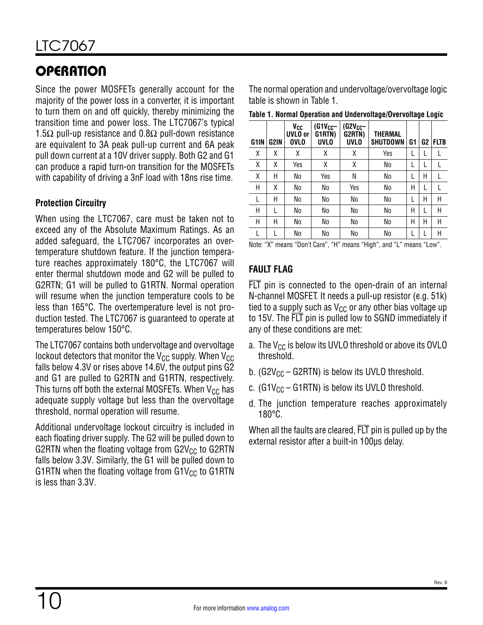# **OPERATION**

Since the power MOSFETs generally account for the majority of the power loss in a converter, it is important to turn them on and off quickly, thereby minimizing the transition time and power loss. The LTC7067's typical 1.5 $\Omega$  pull-up resistance and 0.8 $\Omega$  pull-down resistance are equivalent to 3A peak pull-up current and 6A peak pull down current at a 10V driver supply. Both G2 and G1 can produce a rapid turn-on transition for the MOSFETs with capability of driving a 3nF load with 18ns rise time.

#### **Protection Circuitry**

When using the LTC7067, care must be taken not to exceed any of the [Absolute Maximum Ratings](#page-1-0). As an added safeguard, the LTC7067 incorporates an overtemperature shutdown feature. If the junction temperature reaches approximately 180°C, the LTC7067 will enter thermal shutdown mode and G2 will be pulled to G2RTN; G1 will be pulled to G1RTN. Normal operation will resume when the junction temperature cools to be less than 165°C. The overtemperature level is not production tested. The LTC7067 is guaranteed to operate at temperatures below 150°C.

The LTC7067 contains both undervoltage and overvoltage lockout detectors that monitor the  $V_{CC}$  supply. When  $V_{CC}$ falls below 4.3V or rises above 14.6V, the output pins G2 and G1 are pulled to G2RTN and G1RTN, respectively. This turns off both the external MOSFETs. When  $V_{CC}$  has adequate supply voltage but less than the overvoltage threshold, normal operation will resume.

Additional undervoltage lockout circuitry is included in each floating driver supply. The G2 will be pulled down to G2RTN when the floating voltage from  $G2V_{CC}$  to  $G2RTN$ falls below 3.3V. Similarly, the G1 will be pulled down to G1RTN when the floating voltage from G1V<sub>CC</sub> to G1RTN is less than 3.3V.

The normal operation and undervoltage/overvoltage logic table is shown in [Table 1.](#page-9-0)

<span id="page-9-0"></span>**Table 1. Normal Operation and Undervoltage/Overvoltage Logic**

| G <sub>1</sub> IN | G2IN | Vcc<br>UVLO or<br><b>OVLO</b> | $(G1V_{CC}-$<br>G1RTN)<br><b>UVLO</b> | $(G2V_{CC}$<br>G2RTN)<br><b>UVLO</b> | <b>THERMAL</b><br><b>SHUTDOWN</b> | G1 | G <sub>2</sub> | <b>FLTB</b> |
|-------------------|------|-------------------------------|---------------------------------------|--------------------------------------|-----------------------------------|----|----------------|-------------|
| Χ                 | Χ    | Χ                             | χ                                     | χ                                    | Yes                               |    | L              |             |
| Χ                 | Χ    | Yes                           | Χ                                     | χ                                    | No                                |    | L              |             |
| χ                 | Н    | No                            | Yes                                   | Ν                                    | No                                |    | Н              |             |
| Н                 | Χ    | No                            | No                                    | Yes                                  | No                                | Н  | L              |             |
| L                 | Н    | No                            | No                                    | No                                   | No                                |    | Н              | Η           |
| Н                 | L    | No                            | No                                    | No                                   | No                                | Н  | L              | Η           |
| Н                 | Н    | No                            | No                                    | No                                   | No                                | Н  | Н              | Η           |
|                   |      | No                            | No                                    | No                                   | No                                |    |                | Η           |

Note: "X" means "Don't Care", "H" means "High", and "L" means "Low".

#### **FAULT FLAG**

FLT pin is connected to the open-drain of an internal N-channel MOSFET. It needs a pull-up resistor (e.g. 51k) tied to a supply such as  $V_{CC}$  or any other bias voltage up to 15V. The FLT pin is pulled low to SGND immediately if any of these conditions are met:

- a. The  $V_{CC}$  is below its UVLO threshold or above its OVLO threshold.
- b. (G2V<sub>CC</sub> G2RTN) is below its UVLO threshold.
- c. (G1V<sub>CC</sub> G1RTN) is below its UVLO threshold.
- d. The junction temperature reaches approximately 180°C.

When all the faults are cleared. FLT pin is pulled up by the external resistor after a built-in 100µs delay.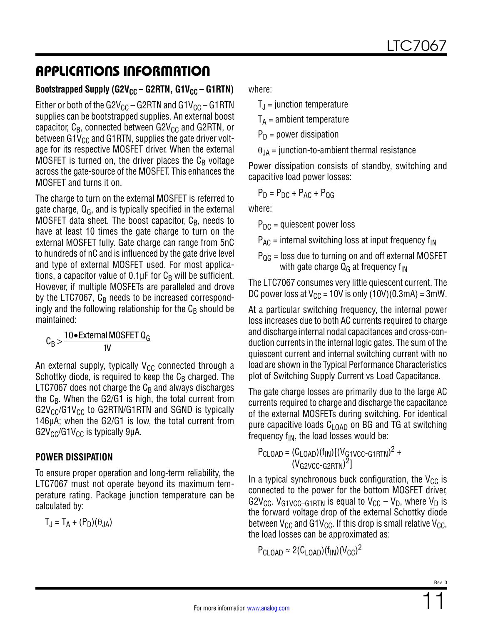# APPLICATIONS INFORMATION

#### Bootstrapped Supply (G2V<sub>CC</sub> – G2RTN, G1V<sub>CC</sub> – G1RTN)

Either or both of the G2V<sub>CC</sub> – G2RTN and G1V<sub>CC</sub> – G1RTN supplies can be bootstrapped supplies. An external boost capacitor,  $C_B$ , connected between G2V<sub>CC</sub> and G2RTN, or between  $G1V_{CC}$  and  $G1RTN$ , supplies the gate driver voltage for its respective MOSFET driver. When the external MOSFET is turned on, the driver places the  $C_B$  voltage across the gate-source of the MOSFET. This enhances the MOSFET and turns it on.

The charge to turn on the external MOSFET is referred to gate charge,  $Q_G$ , and is typically specified in the external MOSFET data sheet. The boost capacitor,  $C_{\text{B}}$ , needs to have at least 10 times the gate charge to turn on the external MOSFET fully. Gate charge can range from 5nC to hundreds of nC and is influenced by the gate drive level and type of external MOSFET used. For most applications, a capacitor value of  $0.1 \mu$ F for  $C_B$  will be sufficient. However, if multiple MOSFETs are paralleled and drove by the LTC7067,  $C_B$  needs to be increased correspondingly and the following relationship for the  $C_B$  should be maintained:

 $C_B > \frac{10 \cdot \text{External MOSFET Q}_G}{11}$ 1V

An external supply, typically  $V_{CC}$  connected through a Schottky diode, is required to keep the  $C_B$  charged. The LTC7067 does not charge the  $C_B$  and always discharges the  $C_B$ . When the G2/G1 is high, the total current from  $G2V_{CC}/G1V_{CC}$  to G2RTN/G1RTN and SGND is typically 146µA; when the G2/G1 is low, the total current from  $G2V_{CC}/G1V_{CC}$  is typically 9µA.

### **POWER DISSIPATION**

To ensure proper operation and long-term reliability, the LTC7067 must not operate beyond its maximum temperature rating. Package junction temperature can be calculated by:

 $T_{\rm J} = T_{\rm A} + (P_{\rm D})(\theta_{\rm JA})$ 

where:

 $T_{\text{J}}$  = junction temperature

 $T_A$  = ambient temperature

 $P_D$  = power dissipation

 $\theta_{JA}$  = junction-to-ambient thermal resistance

Power dissipation consists of standby, switching and capacitive load power losses:

$$
P_D = P_{DC} + P_{AC} + P_{QG}
$$

where:

 $P_{DC}$  = quiescent power loss

 $P_{AC}$  = internal switching loss at input frequency  $f_{IN}$ 

 $P_{QG}$  = loss due to turning on and off external MOSFET with gate charge  $Q_G$  at frequency  $f_{IN}$ 

The LTC7067 consumes very little quiescent current. The DC power loss at  $V_{\text{CC}}$  = 10V is only (10V)(0.3mA) = 3mW.

At a particular switching frequency, the internal power loss increases due to both AC currents required to charge and discharge internal nodal capacitances and cross-conduction currents in the internal logic gates. The sum of the quiescent current and internal switching current with no load are shown in the [Typical Performance Characteristics](#page-4-0) plot of Switching Supply Current vs Load Capacitance.

The gate charge losses are primarily due to the large AC currents required to charge and discharge the capacitance of the external MOSFETs during switching. For identical pure capacitive loads  $C_{\text{LOAD}}$  on BG and TG at switching frequency  $f_{IN}$ , the load losses would be:

$$
PCLOAD = (CLOAD)(fIN)[(VG1VCC-G1RTN)2 +
$$
  
(V<sub>G2VCC-G2RTN</sub>)<sup>2</sup>]

In a typical synchronous buck configuration, the  $V_{CC}$  is connected to the power for the bottom MOSFET driver, G2V<sub>CC</sub>. V<sub>G1VCC–G1RTN</sub> is equal to V<sub>CC</sub> – V<sub>D</sub>, where V<sub>D</sub> is the forward voltage drop of the external Schottky diode between  $V_{CC}$  and G1V<sub>CC</sub>. If this drop is small relative  $V_{CC}$ , the load losses can be approximated as:

$$
P_{\text{CLOAD}} \approx 2 (C_{\text{LOAD}}) (f_{\text{IN}}) (V_{\text{CC}})^2
$$

11 Rev. 0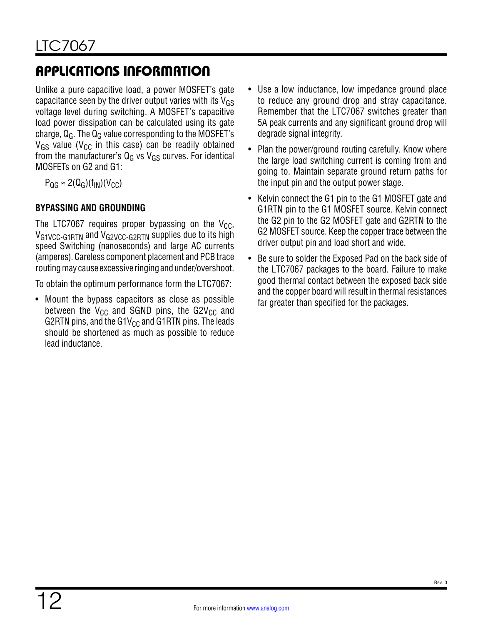# APPLICATIONS INFORMATION

Unlike a pure capacitive load, a power MOSFET's gate capacitance seen by the driver output varies with its  $V_{GS}$ voltage level during switching. A MOSFET's capacitive load power dissipation can be calculated using its gate charge,  $Q_G$ . The  $Q_G$  value corresponding to the MOSFET's  $V_{GS}$  value ( $V_{CC}$  in this case) can be readily obtained from the manufacturer's  $Q<sub>G</sub>$  vs V<sub>GS</sub> curves. For identical MOSFETs on G2 and G1:

 $P_{\text{QG}} \approx 2(Q_{\text{G}})(f_{\text{IN}})(V_{\text{CC}})$ 

### **BYPASSING AND GROUNDING**

The LTC7067 requires proper bypassing on the  $V_{CC}$ , VG1VCC-G1RTN and VG2VCC-G2RTN supplies due to its high speed Switching (nanoseconds) and large AC currents (amperes). Careless component placement and PCB trace routing may cause excessive ringing and under/overshoot.

To obtain the optimum performance form the LTC7067:

• Mount the bypass capacitors as close as possible between the  $V_{CC}$  and SGND pins, the G2V<sub>CC</sub> and G2RTN pins, and the G1 $V_{CC}$  and G1RTN pins. The leads should be shortened as much as possible to reduce lead inductance.

- Use a low inductance, low impedance ground place to reduce any ground drop and stray capacitance. Remember that the LTC7067 switches greater than 5A peak currents and any significant ground drop will degrade signal integrity.
- Plan the power/ground routing carefully. Know where the large load switching current is coming from and going to. Maintain separate ground return paths for the input pin and the output power stage.
- Kelvin connect the G1 pin to the G1 MOSFET gate and G1RTN pin to the G1 MOSFET source. Kelvin connect the G2 pin to the G2 MOSFET gate and G2RTN to the G2 MOSFET source. Keep the copper trace between the driver output pin and load short and wide.
- Be sure to solder the Exposed Pad on the back side of the LTC7067 packages to the board. Failure to make good thermal contact between the exposed back side and the copper board will result in thermal resistances far greater than specified for the packages.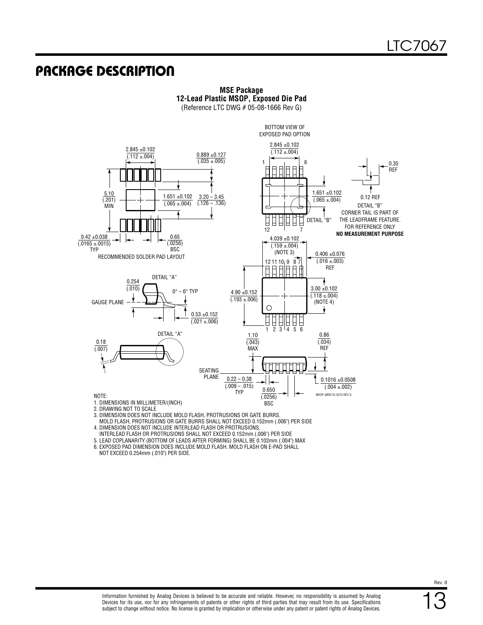### PACKAGE DESCRIPTION



**MSE Package 12-Lead Plastic MSOP, Exposed Die Pad** (Reference LTC DWG # 05-08-1666 Rev G)

3. DIMENSION DOES NOT INCLUDE MOLD FLASH, PROTRUSIONS OR GATE BURRS.

 MOLD FLASH, PROTRUSIONS OR GATE BURRS SHALL NOT EXCEED 0.152mm (.006") PER SIDE 4. DIMENSION DOES NOT INCLUDE INTERLEAD FLASH OR PROTRUSIONS.

INTERLEAD FLASH OR PROTRUSIONS SHALL NOT EXCEED 0.152mm (.006") PER SIDE

5. LEAD COPLANARITY (BOTTOM OF LEADS AFTER FORMING) SHALL BE 0.102mm (.004") MAX 6. EXPOSED PAD DIMENSION DOES INCLUDE MOLD FLASH. MOLD FLASH ON E-PAD SHALL NOT EXCEED 0.254mm (.010") PER SIDE.